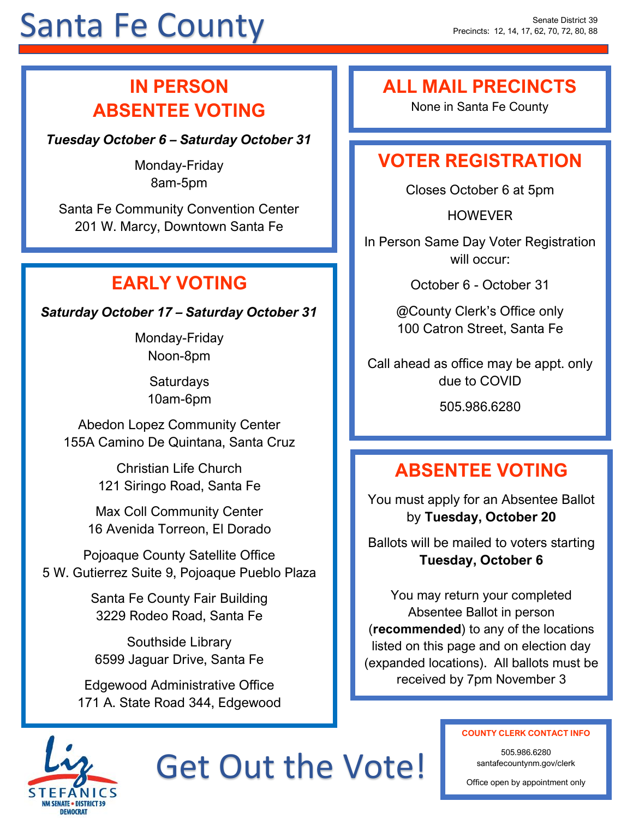# Santa Fe County

## **IN PERSON ABSENTEE VOTING**

*Tuesday October 6 – Saturday October 31*

Monday-Friday 8am-5pm

Santa Fe Community Convention Center 201 W. Marcy, Downtown Santa Fe

## **EARLY VOTING**

*Saturday October 17 – Saturday October 31*

Monday-Friday Noon-8pm

> **Saturdays** 10am-6pm

Abedon Lopez Community Center 155A Camino De Quintana, Santa Cruz

> Christian Life Church 121 Siringo Road, Santa Fe

Max Coll Community Center 16 Avenida Torreon, El Dorado

Pojoaque County Satellite Office 5 W. Gutierrez Suite 9, Pojoaque Pueblo Plaza

> Santa Fe County Fair Building 3229 Rodeo Road, Santa Fe

Southside Library 6599 Jaguar Drive, Santa Fe

Edgewood Administrative Office 171 A. State Road 344, Edgewood

### **ALL MAIL PRECINCTS**

None in Santa Fe County

## **VOTER REGISTRATION**

Closes October 6 at 5pm

HOWEVER

In Person Same Day Voter Registration will occur:

October 6 - October 31

@County Clerk's Office only 100 Catron Street, Santa Fe

Call ahead as office may be appt. only due to COVID

505.986.6280

## **ABSENTEE VOTING**

You must apply for an Absentee Ballot by **Tuesday, October 20**

Ballots will be mailed to voters starting **Tuesday, October 6**

You may return your completed Absentee Ballot in person (**recommended**) to any of the locations listed on this page and on election day (expanded locations). All ballots must be received by 7pm November 3



Get Out the Vote!

#### **COUNTY CLERK CONTACT INFO**

505.986.6280 santafecountynm.gov/clerk

Office open by appointment only